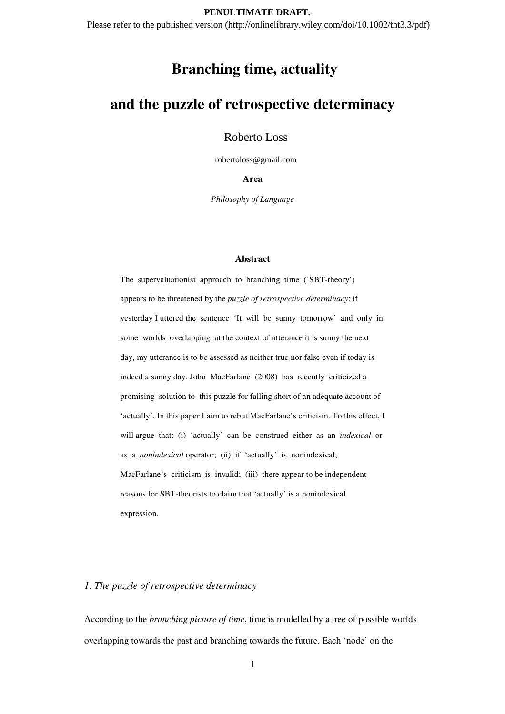#### **PENULTIMATE DRAFT.**

Please refer to the published version (http://onlinelibrary.wiley.com/doi/10.1002/tht3.3/pdf)

# **Branching time, actuality**

# **and the puzzle of retrospective determinacy**

Roberto Loss

robertoloss@gmail.com

**Area** 

*Philosophy of Language* 

#### **Abstract**

The supervaluationist approach to branching time ('SBT-theory') appears to be threatened by the *puzzle of retrospective determinacy*: if yesterday I uttered the sentence 'It will be sunny tomorrow' and only in some worlds overlapping at the context of utterance it is sunny the next day, my utterance is to be assessed as neither true nor false even if today is indeed a sunny day. John MacFarlane (2008) has recently criticized a promising solution to this puzzle for falling short of an adequate account of 'actually'. In this paper I aim to rebut MacFarlane's criticism. To this effect, I will argue that: (i) 'actually' can be construed either as an *indexical* or as a *nonindexical* operator; (ii) if 'actually' is nonindexical, MacFarlane's criticism is invalid; (iii) there appear to be independent reasons for SBT-theorists to claim that 'actually' is a nonindexical expression.

# *1. The puzzle of retrospective determinacy*

According to the *branching picture of time*, time is modelled by a tree of possible worlds overlapping towards the past and branching towards the future. Each 'node' on the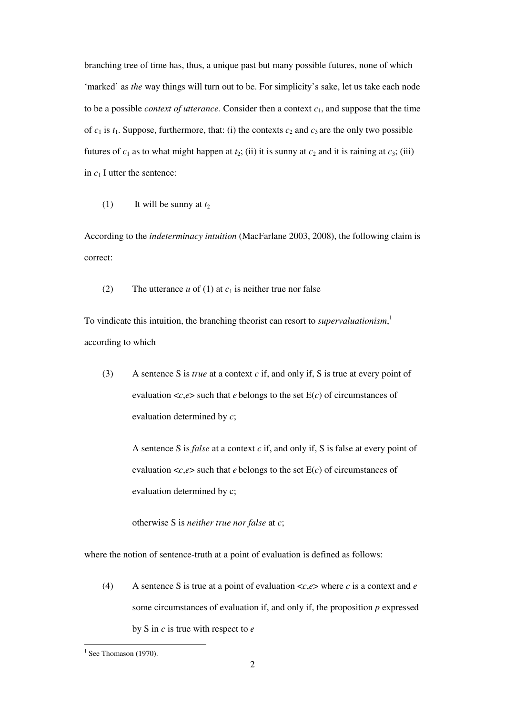branching tree of time has, thus, a unique past but many possible futures, none of which 'marked' as *the* way things will turn out to be. For simplicity's sake, let us take each node to be a possible *context of utterance*. Consider then a context *c*1, and suppose that the time of  $c_1$  is  $t_1$ . Suppose, furthermore, that: (i) the contexts  $c_2$  and  $c_3$  are the only two possible futures of  $c_1$  as to what might happen at  $t_2$ ; (ii) it is sunny at  $c_2$  and it is raining at  $c_3$ ; (iii) in  $c_1$  I utter the sentence:

(1) It will be sunny at  $t_2$ 

According to the *indeterminacy intuition* (MacFarlane 2003, 2008), the following claim is correct:

(2) The utterance  $u$  of (1) at  $c_1$  is neither true nor false

To vindicate this intuition, the branching theorist can resort to *supervaluationism*, 1 according to which

(3) A sentence S is *true* at a context *c* if, and only if, S is true at every point of evaluation  $\langle c, e \rangle$  such that *e* belongs to the set  $E(c)$  of circumstances of evaluation determined by *c*;

A sentence S is *false* at a context *c* if, and only if, S is false at every point of evaluation  $\langle c, e \rangle$  such that *e* belongs to the set  $E(c)$  of circumstances of evaluation determined by c;

otherwise S is *neither true nor false* at *c*;

where the notion of sentence-truth at a point of evaluation is defined as follows:

(4) A sentence S is true at a point of evaluation <*c*,*e*> where *c* is a context and *e* some circumstances of evaluation if, and only if, the proposition *p* expressed by S in *c* is true with respect to *e*

 $1$  See Thomason (1970).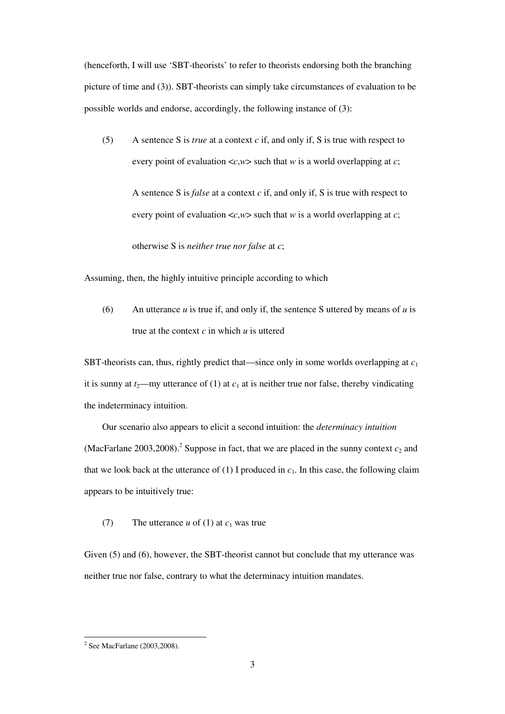(henceforth, I will use 'SBT-theorists' to refer to theorists endorsing both the branching picture of time and (3)). SBT-theorists can simply take circumstances of evaluation to be possible worlds and endorse, accordingly, the following instance of (3):

(5) A sentence S is *true* at a context *c* if, and only if, S is true with respect to every point of evaluation <*c*,*w*> such that *w* is a world overlapping at *c*;

A sentence S is *false* at a context *c* if, and only if, S is true with respect to every point of evaluation <*c*,*w*> such that *w* is a world overlapping at *c*;

otherwise S is *neither true nor false* at *c*;

Assuming, then, the highly intuitive principle according to which

(6) An utterance *u* is true if, and only if, the sentence S uttered by means of *u* is true at the context *c* in which *u* is uttered

SBT-theorists can, thus, rightly predict that—since only in some worlds overlapping at *c*<sup>1</sup> it is sunny at  $t_2$ —my utterance of (1) at  $c_1$  at is neither true nor false, thereby vindicating the indeterminacy intuition.

Our scenario also appears to elicit a second intuition: the *determinacy intuition* (MacFarlane 2003, 2008).<sup>2</sup> Suppose in fact, that we are placed in the sunny context  $c_2$  and that we look back at the utterance of  $(1)$  I produced in  $c_1$ . In this case, the following claim appears to be intuitively true:

(7) The utterance  $u$  of (1) at  $c_1$  was true

Given (5) and (6), however, the SBT-theorist cannot but conclude that my utterance was neither true nor false, contrary to what the determinacy intuition mandates.

 2 See MacFarlane (2003,2008).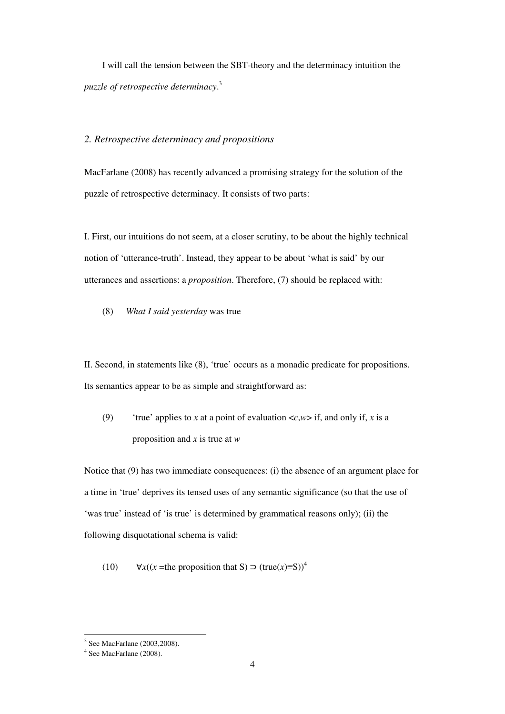I will call the tension between the SBT-theory and the determinacy intuition the *puzzle of retrospective determinacy*. 3

## *2. Retrospective determinacy and propositions*

MacFarlane (2008) has recently advanced a promising strategy for the solution of the puzzle of retrospective determinacy. It consists of two parts:

I. First, our intuitions do not seem, at a closer scrutiny, to be about the highly technical notion of 'utterance-truth'. Instead, they appear to be about 'what is said' by our utterances and assertions: a *proposition*. Therefore, (7) should be replaced with:

(8) *What I said yesterday* was true

II. Second, in statements like (8), 'true' occurs as a monadic predicate for propositions. Its semantics appear to be as simple and straightforward as:

(9) 'true' applies to *x* at a point of evaluation  $\langle c, w \rangle$  if, and only if, *x* is a proposition and *x* is true at *w*

Notice that (9) has two immediate consequences: (i) the absence of an argument place for a time in 'true' deprives its tensed uses of any semantic significance (so that the use of 'was true' instead of 'is true' is determined by grammatical reasons only); (ii) the following disquotational schema is valid:

(10)  $\forall x((x = \text{the proposition that } S) \supset (\text{true}(x) \equiv S))^4$ 

 $\overline{a}$ 3 See MacFarlane (2003,2008).

<sup>4</sup> See MacFarlane (2008).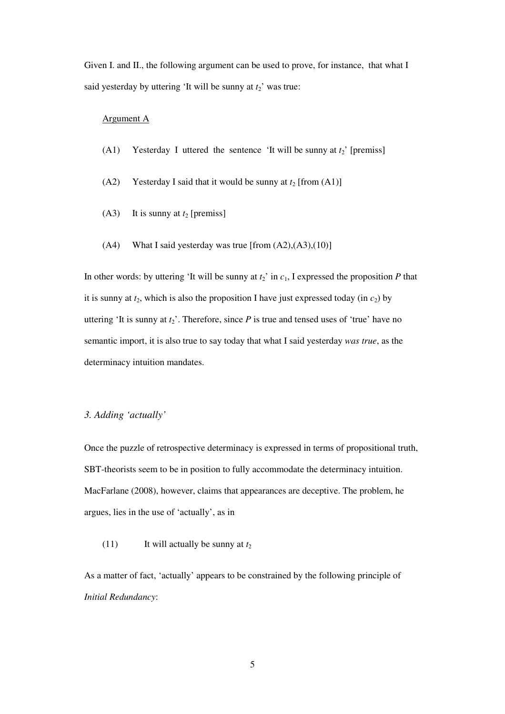Given I. and II., the following argument can be used to prove, for instance, that what I said yesterday by uttering 'It will be sunny at  $t_2$ ' was true:

# Argument A

- (A1) Yesterday I uttered the sentence 'It will be sunny at  $t_2$ ' [premiss]
- (A2) Yesterday I said that it would be sunny at  $t_2$  [from (A1)]
- (A3) It is sunny at  $t_2$  [premiss]
- $(A4)$  What I said yesterday was true [from  $(A2),(A3),(10)$ ]

In other words: by uttering 'It will be sunny at  $t_2$ ' in  $c_1$ , I expressed the proposition  $P$  that it is sunny at  $t_2$ , which is also the proposition I have just expressed today (in  $c_2$ ) by uttering 'It is sunny at  $t_2$ '. Therefore, since  $P$  is true and tensed uses of 'true' have no semantic import, it is also true to say today that what I said yesterday *was true*, as the determinacy intuition mandates.

# *3. Adding 'actually'*

Once the puzzle of retrospective determinacy is expressed in terms of propositional truth, SBT-theorists seem to be in position to fully accommodate the determinacy intuition. MacFarlane (2008), however, claims that appearances are deceptive. The problem, he argues, lies in the use of 'actually', as in

(11) It will actually be sunny at  $t_2$ 

As a matter of fact, 'actually' appears to be constrained by the following principle of *Initial Redundancy*: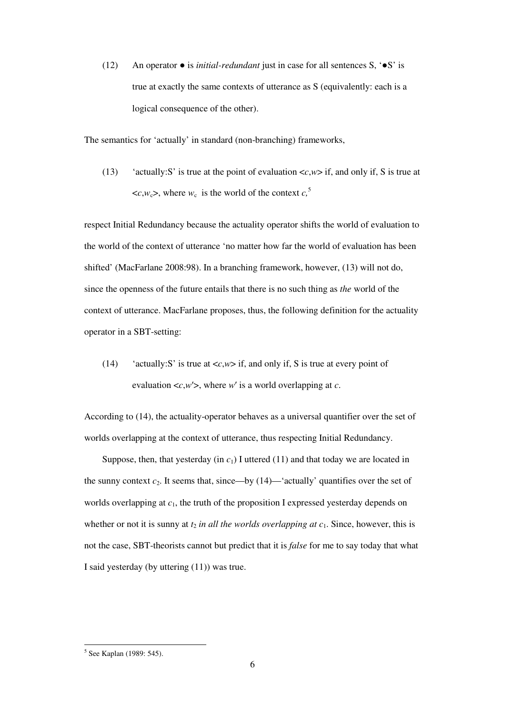(12) An operator ● is *initial-redundant* just in case for all sentences S, '●S' is true at exactly the same contexts of utterance as S (equivalently: each is a logical consequence of the other).

The semantics for 'actually' in standard (non-branching) frameworks,

(13) 'actually:S' is true at the point of evaluation  $\langle c, w \rangle$  if, and only if, S is true at  $\langle c, w_c \rangle$ , where  $w_c$  is the world of the context  $c<sub>0</sub>$ <sup>5</sup>

respect Initial Redundancy because the actuality operator shifts the world of evaluation to the world of the context of utterance 'no matter how far the world of evaluation has been shifted' (MacFarlane 2008:98). In a branching framework, however, (13) will not do, since the openness of the future entails that there is no such thing as *the* world of the context of utterance. MacFarlane proposes, thus, the following definition for the actuality operator in a SBT-setting:

(14) 'actually:S' is true at  $\langle c, w \rangle$  if, and only if, S is true at every point of evaluation  $\langle c, w' \rangle$ , where *w'* is a world overlapping at *c*.

According to (14), the actuality-operator behaves as a universal quantifier over the set of worlds overlapping at the context of utterance, thus respecting Initial Redundancy.

Suppose, then, that yesterday (in  $c_1$ ) I uttered (11) and that today we are located in the sunny context  $c_2$ . It seems that, since—by  $(14)$ —'actually' quantifies over the set of worlds overlapping at  $c_1$ , the truth of the proposition I expressed yesterday depends on whether or not it is sunny at  $t_2$  *in all the worlds overlapping at c*<sub>1</sub>. Since, however, this is not the case, SBT-theorists cannot but predict that it is *false* for me to say today that what I said yesterday (by uttering (11)) was true.

 5 See Kaplan (1989: 545).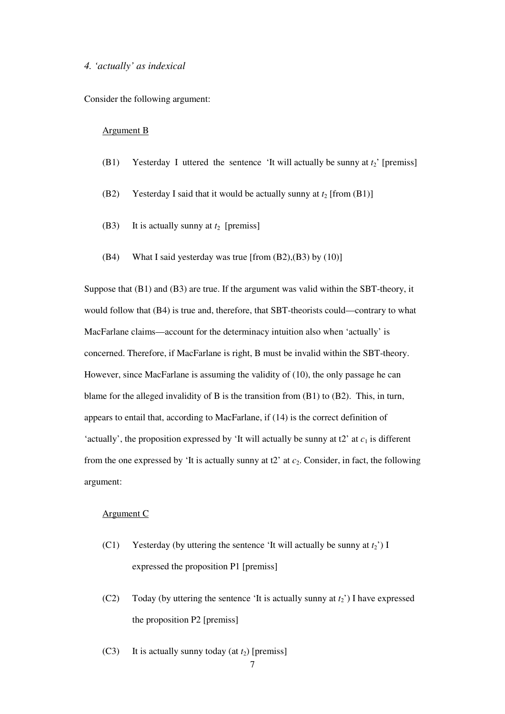### *4. 'actually' as indexical*

Consider the following argument:

#### Argument B

- (B1) Yesterday I uttered the sentence 'It will actually be sunny at  $t_2$ ' [premiss]
- (B2) Yesterday I said that it would be actually sunny at  $t_2$  [from  $(B1)$ ]
- (B3) It is actually sunny at  $t_2$  [premiss]
- (B4) What I said yesterday was true [from  $(B2)$ , $(B3)$  by  $(10)$ ]

Suppose that (B1) and (B3) are true. If the argument was valid within the SBT-theory, it would follow that (B4) is true and, therefore, that SBT-theorists could—contrary to what MacFarlane claims—account for the determinacy intuition also when 'actually' is concerned. Therefore, if MacFarlane is right, B must be invalid within the SBT-theory. However, since MacFarlane is assuming the validity of (10), the only passage he can blame for the alleged invalidity of B is the transition from (B1) to (B2). This, in turn, appears to entail that, according to MacFarlane, if (14) is the correct definition of 'actually', the proposition expressed by 'It will actually be sunny at  $2$ ' at  $c_1$  is different from the one expressed by 'It is actually sunny at  $t2$ ' at  $c_2$ . Consider, in fact, the following argument:

#### Argument C

- (C1) Yesterday (by uttering the sentence 'It will actually be sunny at  $t_2$ ') I expressed the proposition P1 [premiss]
- (C2) Today (by uttering the sentence 'It is actually sunny at  $t_2$ ') I have expressed the proposition P2 [premiss]
- (C3) It is actually sunny today (at  $t_2$ ) [premiss]

7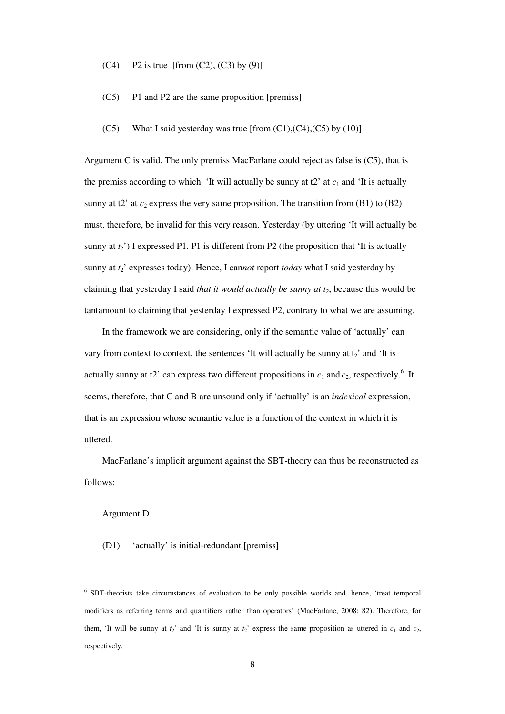- (C4) P2 is true [from (C2), (C3) by (9)]
- (C5) P1 and P2 are the same proposition [premiss]
- $(C5)$  What I said vesterday was true [from  $(C1)$ , $(C4)$ , $(C5)$  by  $(10)$ ]

Argument C is valid. The only premiss MacFarlane could reject as false is (C5), that is the premiss according to which 'It will actually be sunny at t2' at  $c_1$  and 'It is actually sunny at t2' at  $c_2$  express the very same proposition. The transition from (B1) to (B2) must, therefore, be invalid for this very reason. Yesterday (by uttering 'It will actually be sunny at  $t_2$ <sup>'</sup>) I expressed P1. P1 is different from P2 (the proposition that 'It is actually sunny at  $t_2$ <sup>'</sup> expresses today). Hence, I cannot report *today* what I said yesterday by claiming that yesterday I said *that it would actually be sunny at t2*, because this would be tantamount to claiming that yesterday I expressed P2, contrary to what we are assuming.

In the framework we are considering, only if the semantic value of 'actually' can vary from context to context, the sentences 'It will actually be sunny at  $t_2$ ' and 'It is actually sunny at t2' can express two different propositions in  $c_1$  and  $c_2$ , respectively.<sup>6</sup> It seems, therefore, that C and B are unsound only if 'actually' is an *indexical* expression, that is an expression whose semantic value is a function of the context in which it is uttered.

MacFarlane's implicit argument against the SBT-theory can thus be reconstructed as follows:

#### Argument D

 $\overline{a}$ 

(D1) 'actually' is initial-redundant [premiss]

<sup>&</sup>lt;sup>6</sup> SBT-theorists take circumstances of evaluation to be only possible worlds and, hence, 'treat temporal modifiers as referring terms and quantifiers rather than operators' (MacFarlane, 2008: 82). Therefore, for them, 'It will be sunny at  $t_2$ ' and 'It is sunny at  $t_2$ ' express the same proposition as uttered in  $c_1$  and  $c_2$ , respectively.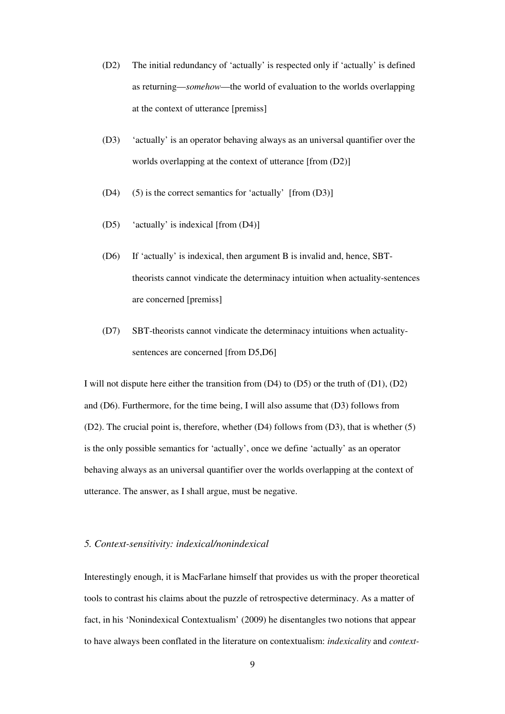- (D2) The initial redundancy of 'actually' is respected only if 'actually' is defined as returning—*somehow*—the world of evaluation to the worlds overlapping at the context of utterance [premiss]
- (D3) 'actually' is an operator behaving always as an universal quantifier over the worlds overlapping at the context of utterance [from (D2)]
- (D4) (5) is the correct semantics for 'actually' [from (D3)]
- (D5) 'actually' is indexical [from (D4)]
- (D6) If 'actually' is indexical, then argument B is invalid and, hence, SBTtheorists cannot vindicate the determinacy intuition when actuality-sentences are concerned [premiss]
- (D7) SBT-theorists cannot vindicate the determinacy intuitions when actualitysentences are concerned [from D5,D6]

I will not dispute here either the transition from (D4) to (D5) or the truth of (D1), (D2) and (D6). Furthermore, for the time being, I will also assume that (D3) follows from (D2). The crucial point is, therefore, whether (D4) follows from (D3), that is whether (5) is the only possible semantics for 'actually', once we define 'actually' as an operator behaving always as an universal quantifier over the worlds overlapping at the context of utterance. The answer, as I shall argue, must be negative.

## *5. Context-sensitivity: indexical/nonindexical*

Interestingly enough, it is MacFarlane himself that provides us with the proper theoretical tools to contrast his claims about the puzzle of retrospective determinacy. As a matter of fact, in his 'Nonindexical Contextualism' (2009) he disentangles two notions that appear to have always been conflated in the literature on contextualism: *indexicality* and *context-*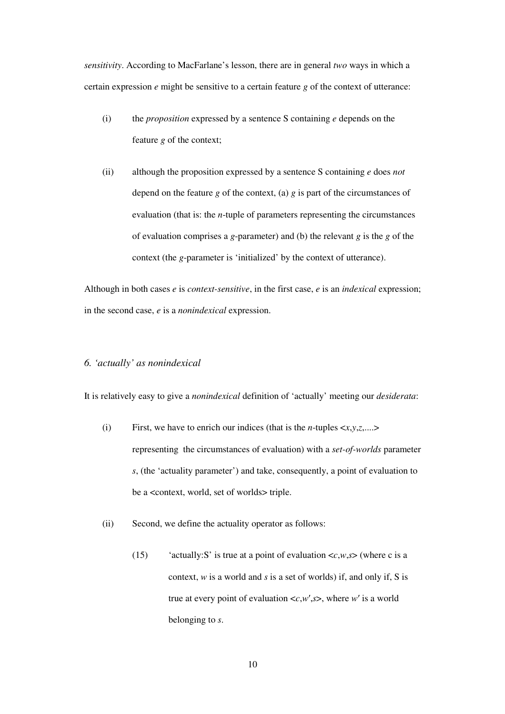*sensitivity*. According to MacFarlane's lesson, there are in general *two* ways in which a certain expression *e* might be sensitive to a certain feature *g* of the context of utterance:

- (i) the *proposition* expressed by a sentence S containing *e* depends on the feature *g* of the context;
- (ii) although the proposition expressed by a sentence S containing *e* does *not* depend on the feature *g* of the context, (a) *g* is part of the circumstances of evaluation (that is: the *n*-tuple of parameters representing the circumstances of evaluation comprises a *g*-parameter) and (b) the relevant *g* is the *g* of the context (the *g*-parameter is 'initialized' by the context of utterance).

Although in both cases *e* is *context-sensitive*, in the first case, *e* is an *indexical* expression; in the second case, *e* is a *nonindexical* expression.

# *6. 'actually' as nonindexical*

It is relatively easy to give a *nonindexical* definition of 'actually' meeting our *desiderata*:

- (i) First, we have to enrich our indices (that is the *n*-tuples  $\langle x, y, z, \ldots \rangle$ representing the circumstances of evaluation) with a *set-of-worlds* parameter *s*, (the 'actuality parameter') and take, consequently, a point of evaluation to be a <context, world, set of worlds> triple.
- (ii) Second, we define the actuality operator as follows:
	- (15) 'actually:S' is true at a point of evaluation  $\langle c, w, s \rangle$  (where c is a context, *w* is a world and *s* is a set of worlds) if, and only if, S is true at every point of evaluation <*c*,*w*′,*s*>, where *w*′ is a world belonging to *s*.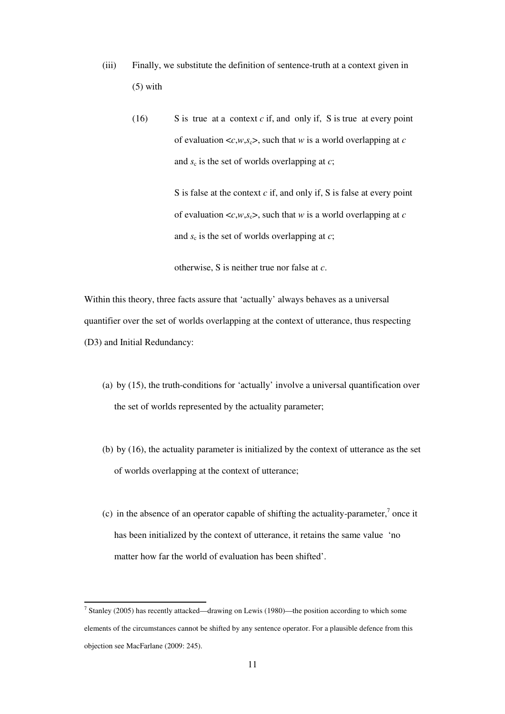- (iii) Finally, we substitute the definition of sentence-truth at a context given in (5) with
	- $(16)$  S is true at a context *c* if, and only if, S is true at every point of evaluation  $\langle c, w, s_c \rangle$ , such that *w* is a world overlapping at *c* and  $s_c$  is the set of worlds overlapping at  $c$ ;

S is false at the context *c* if, and only if, S is false at every point of evaluation  $\langle c, w, s_c \rangle$ , such that *w* is a world overlapping at *c* and  $s_c$  is the set of worlds overlapping at  $c$ ;

otherwise, S is neither true nor false at *c*.

Within this theory, three facts assure that 'actually' always behaves as a universal quantifier over the set of worlds overlapping at the context of utterance, thus respecting (D3) and Initial Redundancy:

- (a) by (15), the truth-conditions for 'actually' involve a universal quantification over the set of worlds represented by the actuality parameter;
- (b) by (16), the actuality parameter is initialized by the context of utterance as the set of worlds overlapping at the context of utterance;
- (c) in the absence of an operator capable of shifting the actuality-parameter, $\bar{\ }$  once it has been initialized by the context of utterance, it retains the same value 'no matter how far the world of evaluation has been shifted'.

 $\overline{a}$ 

<sup>&</sup>lt;sup>7</sup> Stanley (2005) has recently attacked—drawing on Lewis (1980)—the position according to which some elements of the circumstances cannot be shifted by any sentence operator. For a plausible defence from this objection see MacFarlane (2009: 245).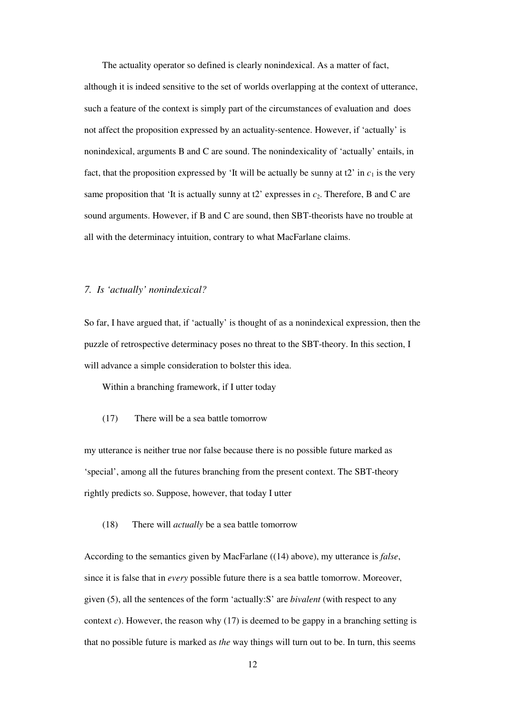The actuality operator so defined is clearly nonindexical. As a matter of fact, although it is indeed sensitive to the set of worlds overlapping at the context of utterance, such a feature of the context is simply part of the circumstances of evaluation and does not affect the proposition expressed by an actuality-sentence. However, if 'actually' is nonindexical, arguments B and C are sound. The nonindexicality of 'actually' entails, in fact, that the proposition expressed by 'It will be actually be sunny at  $2^{\circ}$  in  $c_1$  is the very same proposition that 'It is actually sunny at  $2^{\circ}$  expresses in  $c_2$ . Therefore, B and C are sound arguments. However, if B and C are sound, then SBT-theorists have no trouble at all with the determinacy intuition, contrary to what MacFarlane claims.

#### *7. Is 'actually' nonindexical?*

So far, I have argued that, if 'actually' is thought of as a nonindexical expression, then the puzzle of retrospective determinacy poses no threat to the SBT-theory. In this section, I will advance a simple consideration to bolster this idea.

Within a branching framework, if I utter today

#### (17) There will be a sea battle tomorrow

my utterance is neither true nor false because there is no possible future marked as 'special', among all the futures branching from the present context. The SBT-theory rightly predicts so. Suppose, however, that today I utter

# (18) There will *actually* be a sea battle tomorrow

According to the semantics given by MacFarlane ((14) above), my utterance is *false*, since it is false that in *every* possible future there is a sea battle tomorrow. Moreover, given (5), all the sentences of the form 'actually:S' are *bivalent* (with respect to any context *c*). However, the reason why (17) is deemed to be gappy in a branching setting is that no possible future is marked as *the* way things will turn out to be. In turn, this seems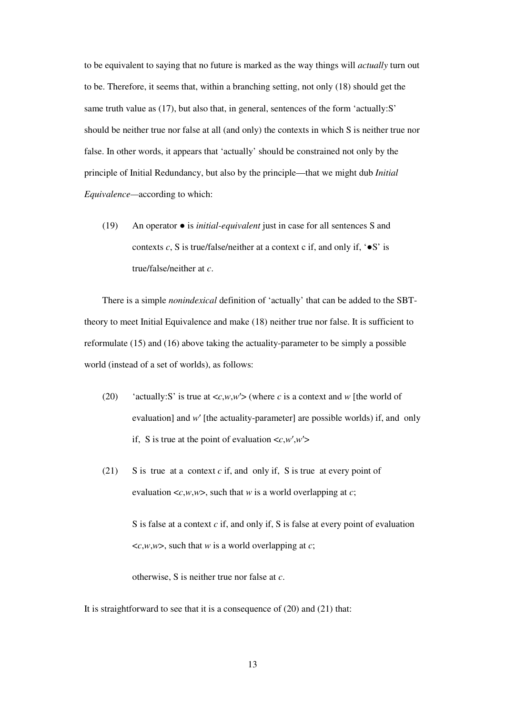to be equivalent to saying that no future is marked as the way things will *actually* turn out to be. Therefore, it seems that, within a branching setting, not only (18) should get the same truth value as (17), but also that, in general, sentences of the form 'actually:S' should be neither true nor false at all (and only) the contexts in which S is neither true nor false. In other words, it appears that 'actually' should be constrained not only by the principle of Initial Redundancy, but also by the principle—that we might dub *Initial Equivalence—*according to which:

(19) An operator ● is *initial-equivalent* just in case for all sentences S and contexts  $c$ , S is true/false/neither at a context c if, and only if,  $\cdot$  S' is true/false/neither at *c*.

There is a simple *nonindexical* definition of 'actually' that can be added to the SBTtheory to meet Initial Equivalence and make (18) neither true nor false. It is sufficient to reformulate (15) and (16) above taking the actuality-parameter to be simply a possible world (instead of a set of worlds), as follows:

- (20) 'actually:S' is true at  $\langle c, w, w' \rangle$  (where *c* is a context and *w* [the world of evaluation] and *w'* [the actuality-parameter] are possible worlds) if, and only if, S is true at the point of evaluation  $\langle c, w', w' \rangle$
- (21) S is true at a context *c* if, and only if, S is true at every point of evaluation  $\langle c, w, w \rangle$ , such that *w* is a world overlapping at *c*;

S is false at a context *c* if, and only if, S is false at every point of evaluation  $\langle c, w, w \rangle$ , such that *w* is a world overlapping at *c*;

otherwise, S is neither true nor false at *c*.

It is straightforward to see that it is a consequence of (20) and (21) that: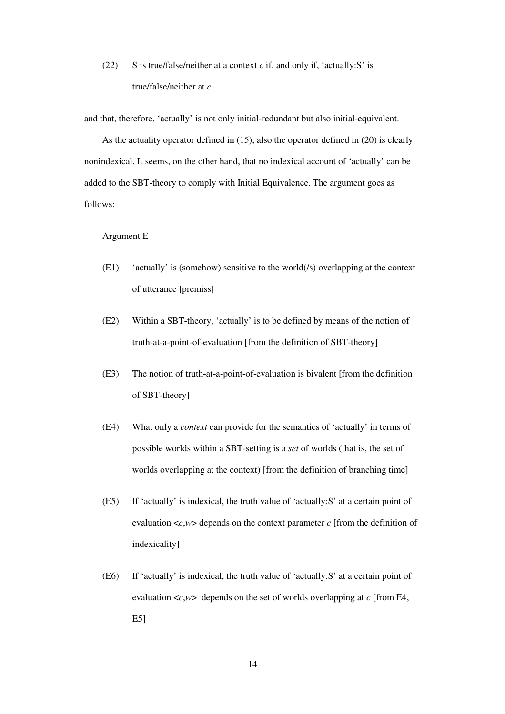(22) S is true/false/neither at a context *c* if, and only if, 'actually:S' is true/false/neither at *c*.

and that, therefore, 'actually' is not only initial-redundant but also initial-equivalent.

As the actuality operator defined in (15), also the operator defined in (20) is clearly nonindexical. It seems, on the other hand, that no indexical account of 'actually' can be added to the SBT-theory to comply with Initial Equivalence. The argument goes as follows:

# Argument E

- (E1) 'actually' is (somehow) sensitive to the world(/s) overlapping at the context of utterance [premiss]
- (E2) Within a SBT-theory, 'actually' is to be defined by means of the notion of truth-at-a-point-of-evaluation [from the definition of SBT-theory]
- (E3) The notion of truth-at-a-point-of-evaluation is bivalent [from the definition of SBT-theory]
- (E4) What only a *context* can provide for the semantics of 'actually' in terms of possible worlds within a SBT-setting is a *set* of worlds (that is, the set of worlds overlapping at the context) [from the definition of branching time]
- (E5) If 'actually' is indexical, the truth value of 'actually:S' at a certain point of evaluation  $\langle c, w \rangle$  depends on the context parameter *c* [from the definition of indexicality]
- (E6) If 'actually' is indexical, the truth value of 'actually:S' at a certain point of evaluation  $\langle c, w \rangle$  depends on the set of worlds overlapping at *c* [from E4, E5]

14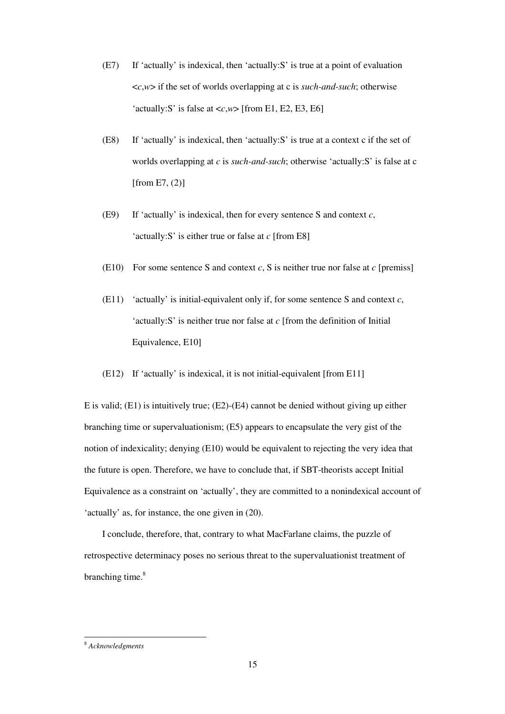- (E7) If 'actually' is indexical, then 'actually:S' is true at a point of evaluation <*c*,*w*> if the set of worlds overlapping at c is *such-and-such*; otherwise 'actually:S' is false at  $\langle c, w \rangle$  [from E1, E2, E3, E6]
- (E8) If 'actually' is indexical, then 'actually:S' is true at a context c if the set of worlds overlapping at *c* is *such-and-such*; otherwise 'actually:S' is false at c [from E7,  $(2)$ ]
- (E9) If 'actually' is indexical, then for every sentence S and context *c*, 'actually:S' is either true or false at *c* [from E8]
- (E10) For some sentence S and context *c*, S is neither true nor false at *c* [premiss]
- (E11) 'actually' is initial-equivalent only if, for some sentence S and context *c*, 'actually:S' is neither true nor false at *c* [from the definition of Initial Equivalence, E10]
- (E12) If 'actually' is indexical, it is not initial-equivalent [from E11]

E is valid; (E1) is intuitively true; (E2)-(E4) cannot be denied without giving up either branching time or supervaluationism; (E5) appears to encapsulate the very gist of the notion of indexicality; denying (E10) would be equivalent to rejecting the very idea that the future is open. Therefore, we have to conclude that, if SBT-theorists accept Initial Equivalence as a constraint on 'actually', they are committed to a nonindexical account of 'actually' as, for instance, the one given in (20).

I conclude, therefore, that, contrary to what MacFarlane claims, the puzzle of retrospective determinacy poses no serious threat to the supervaluationist treatment of branching time.<sup>8</sup>

 $\overline{a}$ 

<sup>8</sup> *Acknowledgments*